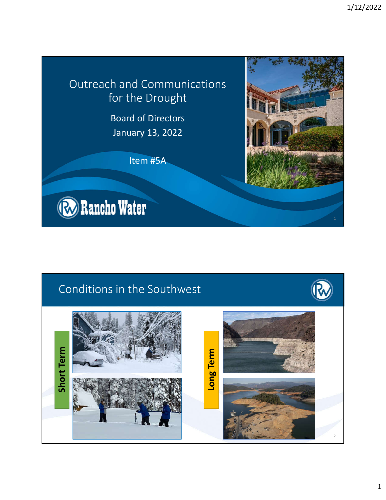## Outreach and Communications for the Drought

Board of Directors January 13, 2022

Item #5A



## Conditions in the Southwest

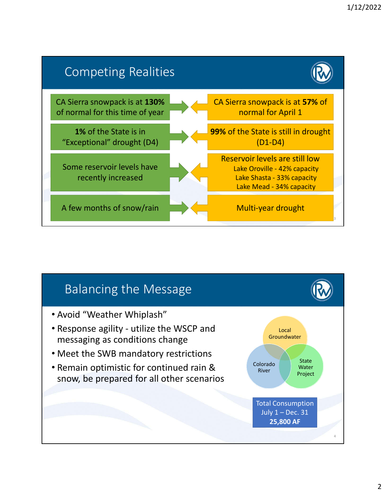

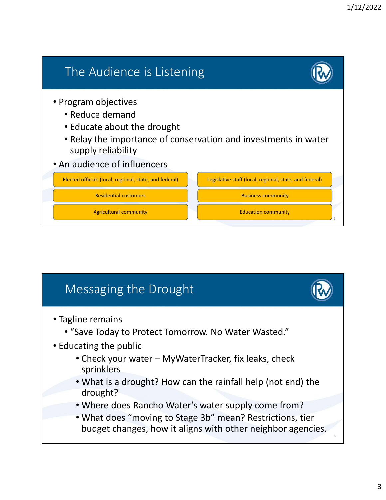

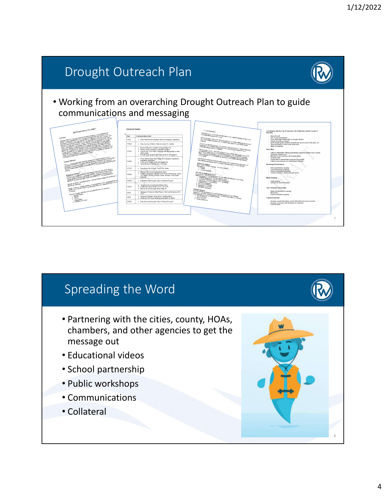

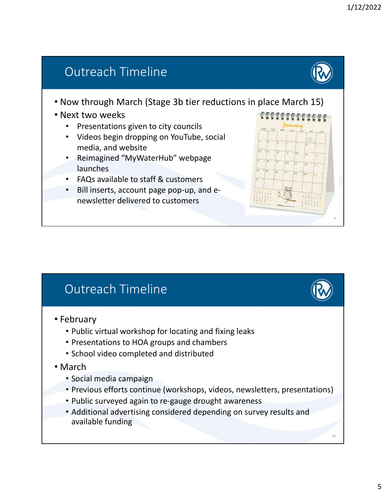## Outreach Timeline

- Now through March (Stage 3b tier reductions in place March 15)
- Next two weeks
	- Presentations given to city councils
	- Videos begin dropping on YouTube, social media, and website
	- Reimagined "MyWaterHub" webpage launches
	- FAQs available to staff & customers
	- Bill inserts, account page pop-up, and enewsletter delivered to customers



## Outreach Timeline

- February
	- Public virtual workshop for locating and fixing leaks
	- Presentations to HOA groups and chambers
	- School video completed and distributed
- March
	- Social media campaign
	- Previous efforts continue (workshops, videos, newsletters, presentations)
	- Public surveyed again to re-gauge drought awareness
	- Additional advertising considered depending on survey results and available funding

10